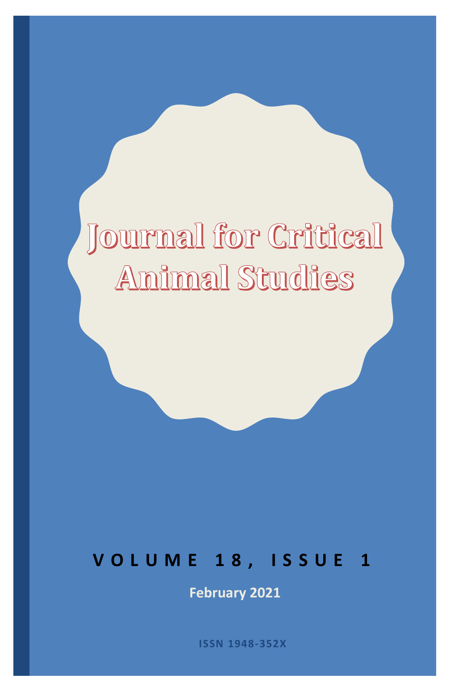# Journal for Critical **Animal Studies**

# **V O L U M E 1 8 , I S S U E 1**

**February 2021** 

**ISSN 1948-352X**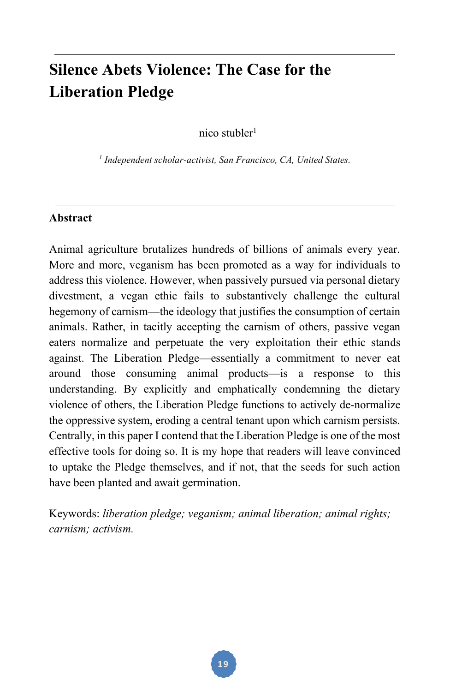# **Silence Abets Violence: The Case for the Liberation Pledge**

nico stubler<sup>1</sup>

*1 Independent scholar-activist, San Francisco, CA, United States.*

#### **Abstract**

Animal agriculture brutalizes hundreds of billions of animals every year. More and more, veganism has been promoted as a way for individuals to address this violence. However, when passively pursued via personal dietary divestment, a vegan ethic fails to substantively challenge the cultural hegemony of carnism—the ideology that justifies the consumption of certain animals. Rather, in tacitly accepting the carnism of others, passive vegan eaters normalize and perpetuate the very exploitation their ethic stands against. The Liberation Pledge—essentially a commitment to never eat around those consuming animal products—is a response to this understanding. By explicitly and emphatically condemning the dietary violence of others, the Liberation Pledge functions to actively de-normalize the oppressive system, eroding a central tenant upon which carnism persists. Centrally, in this paper I contend that the Liberation Pledge is one of the most effective tools for doing so. It is my hope that readers will leave convinced to uptake the Pledge themselves, and if not, that the seeds for such action have been planted and await germination.

Keywords: *liberation pledge; veganism; animal liberation; animal rights; carnism; activism.*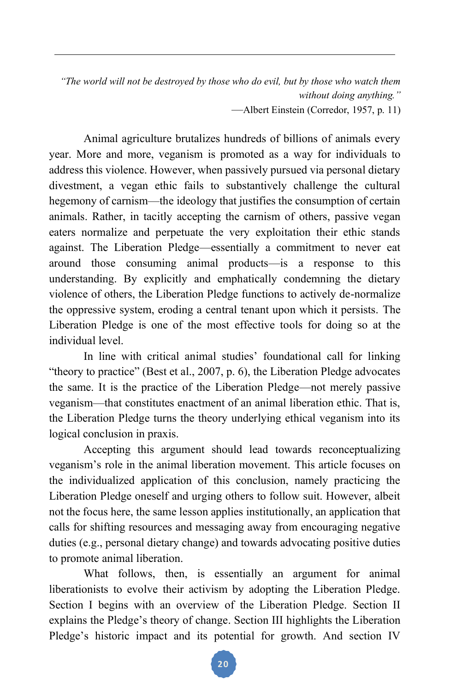*"The world will not be destroyed by those who do evil, but by those who watch them without doing anything."*

—Albert Einstein (Corredor, 1957, p. 11)

Animal agriculture brutalizes hundreds of billions of animals every year. More and more, veganism is promoted as a way for individuals to address this violence. However, when passively pursued via personal dietary divestment, a vegan ethic fails to substantively challenge the cultural hegemony of carnism—the ideology that justifies the consumption of certain animals. Rather, in tacitly accepting the carnism of others, passive vegan eaters normalize and perpetuate the very exploitation their ethic stands against. The Liberation Pledge—essentially a commitment to never eat around those consuming animal products—is a response to this understanding. By explicitly and emphatically condemning the dietary violence of others, the Liberation Pledge functions to actively de-normalize the oppressive system, eroding a central tenant upon which it persists. The Liberation Pledge is one of the most effective tools for doing so at the individual level.

In line with critical animal studies' foundational call for linking "theory to practice" (Best et al., 2007, p. 6), the Liberation Pledge advocates the same. It is the practice of the Liberation Pledge—not merely passive veganism—that constitutes enactment of an animal liberation ethic. That is, the Liberation Pledge turns the theory underlying ethical veganism into its logical conclusion in praxis.

Accepting this argument should lead towards reconceptualizing veganism's role in the animal liberation movement. This article focuses on the individualized application of this conclusion, namely practicing the Liberation Pledge oneself and urging others to follow suit. However, albeit not the focus here, the same lesson applies institutionally, an application that calls for shifting resources and messaging away from encouraging negative duties (e.g., personal dietary change) and towards advocating positive duties to promote animal liberation.

What follows, then, is essentially an argument for animal liberationists to evolve their activism by adopting the Liberation Pledge. Section I begins with an overview of the Liberation Pledge. Section II explains the Pledge's theory of change. Section III highlights the Liberation Pledge's historic impact and its potential for growth. And section IV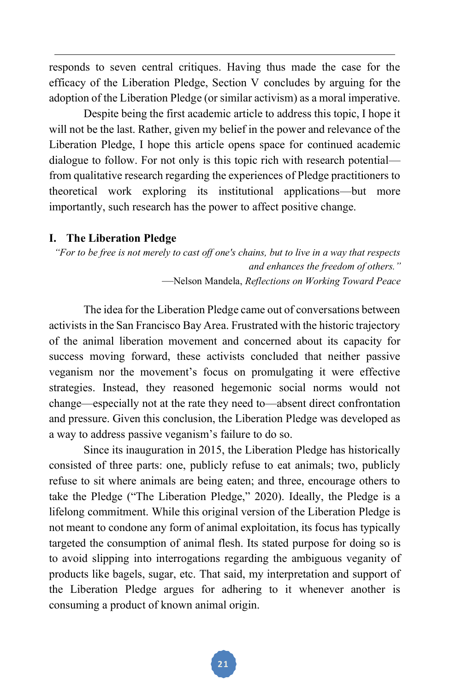responds to seven central critiques. Having thus made the case for the efficacy of the Liberation Pledge, Section V concludes by arguing for the adoption of the Liberation Pledge (or similar activism) as a moral imperative.

Despite being the first academic article to address this topic, I hope it will not be the last. Rather, given my belief in the power and relevance of the Liberation Pledge, I hope this article opens space for continued academic dialogue to follow. For not only is this topic rich with research potential from qualitative research regarding the experiences of Pledge practitioners to theoretical work exploring its institutional applications—but more importantly, such research has the power to affect positive change.

#### **I. The Liberation Pledge**

*"For to be free is not merely to cast off one's chains, but to live in a way that respects and enhances the freedom of others."* —Nelson Mandela, *Reflections on Working Toward Peace* 

The idea for the Liberation Pledge came out of conversations between activists in the San Francisco Bay Area. Frustrated with the historic trajectory of the animal liberation movement and concerned about its capacity for success moving forward, these activists concluded that neither passive veganism nor the movement's focus on promulgating it were effective strategies. Instead, they reasoned hegemonic social norms would not change—especially not at the rate they need to—absent direct confrontation and pressure. Given this conclusion, the Liberation Pledge was developed as a way to address passive veganism's failure to do so.

Since its inauguration in 2015, the Liberation Pledge has historically consisted of three parts: one, publicly refuse to eat animals; two, publicly refuse to sit where animals are being eaten; and three, encourage others to take the Pledge ("The Liberation Pledge," 2020). Ideally, the Pledge is a lifelong commitment. While this original version of the Liberation Pledge is not meant to condone any form of animal exploitation, its focus has typically targeted the consumption of animal flesh. Its stated purpose for doing so is to avoid slipping into interrogations regarding the ambiguous veganity of products like bagels, sugar, etc. That said, my interpretation and support of the Liberation Pledge argues for adhering to it whenever another is consuming a product of known animal origin.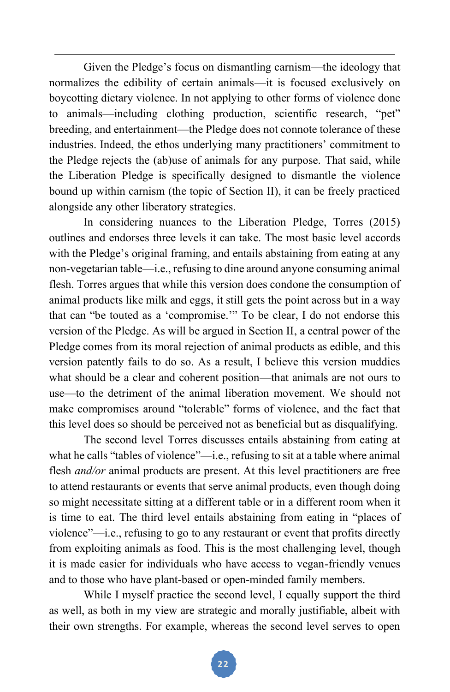Given the Pledge's focus on dismantling carnism—the ideology that normalizes the edibility of certain animals—it is focused exclusively on boycotting dietary violence. In not applying to other forms of violence done to animals—including clothing production, scientific research, "pet" breeding, and entertainment—the Pledge does not connote tolerance of these industries. Indeed, the ethos underlying many practitioners' commitment to the Pledge rejects the (ab)use of animals for any purpose. That said, while the Liberation Pledge is specifically designed to dismantle the violence bound up within carnism (the topic of Section II), it can be freely practiced alongside any other liberatory strategies.

In considering nuances to the Liberation Pledge, Torres (2015) outlines and endorses three levels it can take. The most basic level accords with the Pledge's original framing, and entails abstaining from eating at any non-vegetarian table—i.e., refusing to dine around anyone consuming animal flesh. Torres argues that while this version does condone the consumption of animal products like milk and eggs, it still gets the point across but in a way that can "be touted as a 'compromise.'" To be clear, I do not endorse this version of the Pledge. As will be argued in Section II, a central power of the Pledge comes from its moral rejection of animal products as edible, and this version patently fails to do so. As a result, I believe this version muddies what should be a clear and coherent position—that animals are not ours to use—to the detriment of the animal liberation movement. We should not make compromises around "tolerable" forms of violence, and the fact that this level does so should be perceived not as beneficial but as disqualifying.

The second level Torres discusses entails abstaining from eating at what he calls "tables of violence"—i.e., refusing to sit at a table where animal flesh *and/or* animal products are present. At this level practitioners are free to attend restaurants or events that serve animal products, even though doing so might necessitate sitting at a different table or in a different room when it is time to eat. The third level entails abstaining from eating in "places of violence"—i.e., refusing to go to any restaurant or event that profits directly from exploiting animals as food. This is the most challenging level, though it is made easier for individuals who have access to vegan-friendly venues and to those who have plant-based or open-minded family members.

While I myself practice the second level, I equally support the third as well, as both in my view are strategic and morally justifiable, albeit with their own strengths. For example, whereas the second level serves to open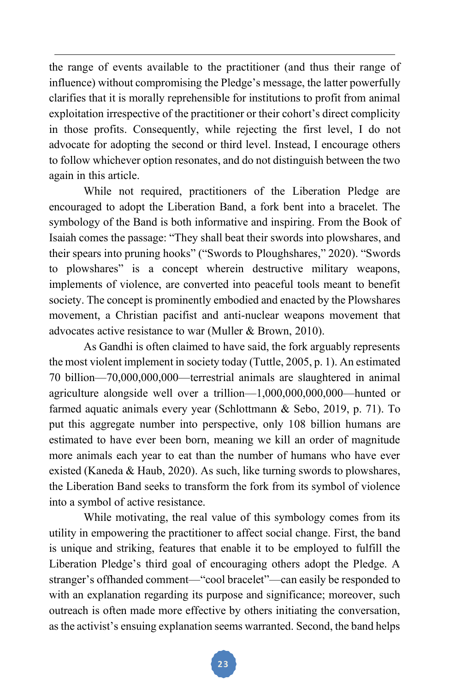the range of events available to the practitioner (and thus their range of influence) without compromising the Pledge's message, the latter powerfully clarifies that it is morally reprehensible for institutions to profit from animal exploitation irrespective of the practitioner or their cohort's direct complicity in those profits. Consequently, while rejecting the first level, I do not advocate for adopting the second or third level. Instead, I encourage others to follow whichever option resonates, and do not distinguish between the two again in this article.

 While not required, practitioners of the Liberation Pledge are encouraged to adopt the Liberation Band, a fork bent into a bracelet. The symbology of the Band is both informative and inspiring. From the Book of Isaiah comes the passage: "They shall beat their swords into plowshares, and their spears into pruning hooks" ("Swords to Ploughshares," 2020). "Swords to plowshares" is a concept wherein destructive military weapons, implements of violence, are converted into peaceful tools meant to benefit society. The concept is prominently embodied and enacted by the Plowshares movement, a Christian pacifist and anti-nuclear weapons movement that advocates active resistance to war (Muller & Brown, 2010).

As Gandhi is often claimed to have said, the fork arguably represents the most violent implement in society today (Tuttle, 2005, p. 1). An estimated 70 billion—70,000,000,000—terrestrial animals are slaughtered in animal agriculture alongside well over a trillion—1,000,000,000,000—hunted or farmed aquatic animals every year (Schlottmann & Sebo, 2019, p. 71). To put this aggregate number into perspective, only 108 billion humans are estimated to have ever been born, meaning we kill an order of magnitude more animals each year to eat than the number of humans who have ever existed (Kaneda & Haub, 2020). As such, like turning swords to plowshares, the Liberation Band seeks to transform the fork from its symbol of violence into a symbol of active resistance.

While motivating, the real value of this symbology comes from its utility in empowering the practitioner to affect social change. First, the band is unique and striking, features that enable it to be employed to fulfill the Liberation Pledge's third goal of encouraging others adopt the Pledge. A stranger's offhanded comment—"cool bracelet"—can easily be responded to with an explanation regarding its purpose and significance; moreover, such outreach is often made more effective by others initiating the conversation, as the activist's ensuing explanation seems warranted. Second, the band helps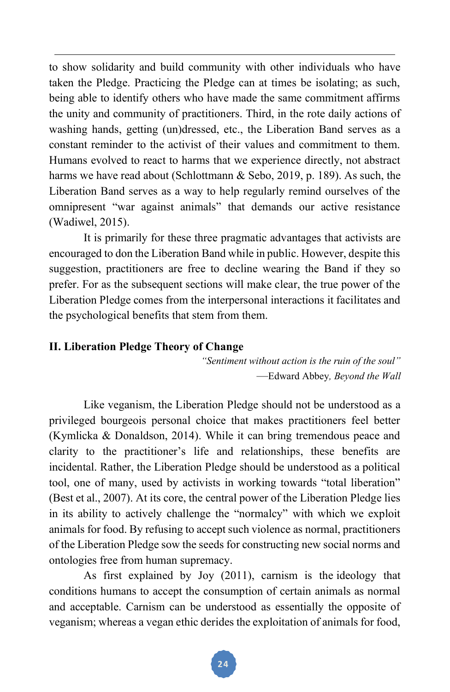to show solidarity and build community with other individuals who have taken the Pledge. Practicing the Pledge can at times be isolating; as such, being able to identify others who have made the same commitment affirms the unity and community of practitioners. Third, in the rote daily actions of washing hands, getting (un)dressed, etc., the Liberation Band serves as a constant reminder to the activist of their values and commitment to them. Humans evolved to react to harms that we experience directly, not abstract harms we have read about (Schlottmann & Sebo, 2019, p. 189). As such, the Liberation Band serves as a way to help regularly remind ourselves of the omnipresent "war against animals" that demands our active resistance (Wadiwel, 2015).

It is primarily for these three pragmatic advantages that activists are encouraged to don the Liberation Band while in public. However, despite this suggestion, practitioners are free to decline wearing the Band if they so prefer. For as the subsequent sections will make clear, the true power of the Liberation Pledge comes from the interpersonal interactions it facilitates and the psychological benefits that stem from them.

# **II. Liberation Pledge Theory of Change**

*"Sentiment without action is the ruin of the soul"* —Edward Abbey*, Beyond the Wall* 

 Like veganism, the Liberation Pledge should not be understood as a privileged bourgeois personal choice that makes practitioners feel better (Kymlicka & Donaldson, 2014). While it can bring tremendous peace and clarity to the practitioner's life and relationships, these benefits are incidental. Rather, the Liberation Pledge should be understood as a political tool, one of many, used by activists in working towards "total liberation" (Best et al., 2007). At its core, the central power of the Liberation Pledge lies in its ability to actively challenge the "normalcy" with which we exploit animals for food. By refusing to accept such violence as normal, practitioners of the Liberation Pledge sow the seeds for constructing new social norms and ontologies free from human supremacy.

 As first explained by Joy (2011), carnism is the ideology that conditions humans to accept the consumption of certain animals as normal and acceptable. Carnism can be understood as essentially the opposite of veganism; whereas a vegan ethic derides the exploitation of animals for food,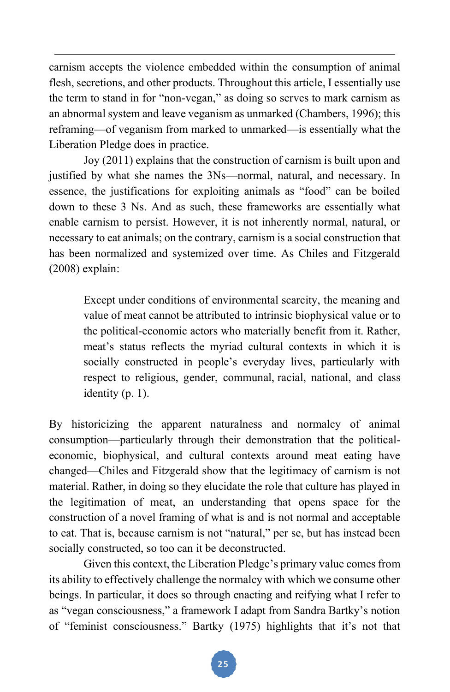carnism accepts the violence embedded within the consumption of animal flesh, secretions, and other products. Throughout this article, I essentially use the term to stand in for "non-vegan," as doing so serves to mark carnism as an abnormal system and leave veganism as unmarked (Chambers, 1996); this reframing—of veganism from marked to unmarked—is essentially what the Liberation Pledge does in practice.

Joy (2011) explains that the construction of carnism is built upon and justified by what she names the 3Ns—normal, natural, and necessary. In essence, the justifications for exploiting animals as "food" can be boiled down to these 3 Ns. And as such, these frameworks are essentially what enable carnism to persist. However, it is not inherently normal, natural, or necessary to eat animals; on the contrary, carnism is a social construction that has been normalized and systemized over time. As Chiles and Fitzgerald (2008) explain:

Except under conditions of environmental scarcity, the meaning and value of meat cannot be attributed to intrinsic biophysical value or to the political-economic actors who materially benefit from it. Rather, meat's status reflects the myriad cultural contexts in which it is socially constructed in people's everyday lives, particularly with respect to religious, gender, communal, racial, national, and class identity (p. 1).

By historicizing the apparent naturalness and normalcy of animal consumption—particularly through their demonstration that the politicaleconomic, biophysical, and cultural contexts around meat eating have changed—Chiles and Fitzgerald show that the legitimacy of carnism is not material. Rather, in doing so they elucidate the role that culture has played in the legitimation of meat, an understanding that opens space for the construction of a novel framing of what is and is not normal and acceptable to eat. That is, because carnism is not "natural," per se, but has instead been socially constructed, so too can it be deconstructed.

 Given this context, the Liberation Pledge's primary value comes from its ability to effectively challenge the normalcy with which we consume other beings. In particular, it does so through enacting and reifying what I refer to as "vegan consciousness," a framework I adapt from Sandra Bartky's notion of "feminist consciousness." Bartky (1975) highlights that it's not that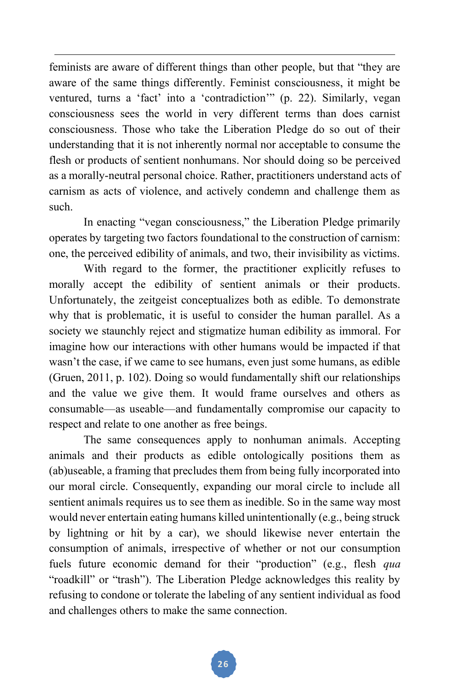feminists are aware of different things than other people, but that "they are aware of the same things differently. Feminist consciousness, it might be ventured, turns a 'fact' into a 'contradiction'" (p. 22). Similarly, vegan consciousness sees the world in very different terms than does carnist consciousness. Those who take the Liberation Pledge do so out of their understanding that it is not inherently normal nor acceptable to consume the flesh or products of sentient nonhumans. Nor should doing so be perceived as a morally-neutral personal choice. Rather, practitioners understand acts of carnism as acts of violence, and actively condemn and challenge them as such.

In enacting "vegan consciousness," the Liberation Pledge primarily operates by targeting two factors foundational to the construction of carnism: one, the perceived edibility of animals, and two, their invisibility as victims.

With regard to the former, the practitioner explicitly refuses to morally accept the edibility of sentient animals or their products. Unfortunately, the zeitgeist conceptualizes both as edible. To demonstrate why that is problematic, it is useful to consider the human parallel. As a society we staunchly reject and stigmatize human edibility as immoral. For imagine how our interactions with other humans would be impacted if that wasn't the case, if we came to see humans, even just some humans, as edible (Gruen, 2011, p. 102). Doing so would fundamentally shift our relationships and the value we give them. It would frame ourselves and others as consumable—as useable—and fundamentally compromise our capacity to respect and relate to one another as free beings.

 The same consequences apply to nonhuman animals. Accepting animals and their products as edible ontologically positions them as (ab)useable, a framing that precludes them from being fully incorporated into our moral circle. Consequently, expanding our moral circle to include all sentient animals requires us to see them as inedible. So in the same way most would never entertain eating humans killed unintentionally (e.g., being struck by lightning or hit by a car), we should likewise never entertain the consumption of animals, irrespective of whether or not our consumption fuels future economic demand for their "production" (e.g., flesh *qua* "roadkill" or "trash"). The Liberation Pledge acknowledges this reality by refusing to condone or tolerate the labeling of any sentient individual as food and challenges others to make the same connection.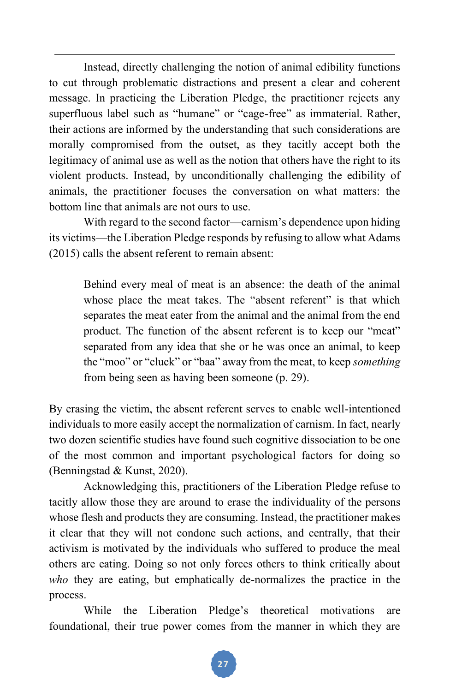Instead, directly challenging the notion of animal edibility functions to cut through problematic distractions and present a clear and coherent message. In practicing the Liberation Pledge, the practitioner rejects any superfluous label such as "humane" or "cage-free" as immaterial. Rather, their actions are informed by the understanding that such considerations are morally compromised from the outset, as they tacitly accept both the legitimacy of animal use as well as the notion that others have the right to its violent products. Instead, by unconditionally challenging the edibility of animals, the practitioner focuses the conversation on what matters: the bottom line that animals are not ours to use.

 With regard to the second factor—carnism's dependence upon hiding its victims—the Liberation Pledge responds by refusing to allow what Adams (2015) calls the absent referent to remain absent:

Behind every meal of meat is an absence: the death of the animal whose place the meat takes. The "absent referent" is that which separates the meat eater from the animal and the animal from the end product. The function of the absent referent is to keep our "meat" separated from any idea that she or he was once an animal, to keep the "moo" or "cluck" or "baa" away from the meat, to keep *something* from being seen as having been someone (p. 29).

By erasing the victim, the absent referent serves to enable well-intentioned individuals to more easily accept the normalization of carnism. In fact, nearly two dozen scientific studies have found such cognitive dissociation to be one of the most common and important psychological factors for doing so (Benningstad & Kunst, 2020).

 Acknowledging this, practitioners of the Liberation Pledge refuse to tacitly allow those they are around to erase the individuality of the persons whose flesh and products they are consuming. Instead, the practitioner makes it clear that they will not condone such actions, and centrally, that their activism is motivated by the individuals who suffered to produce the meal others are eating. Doing so not only forces others to think critically about *who* they are eating, but emphatically de-normalizes the practice in the process.

 While the Liberation Pledge's theoretical motivations are foundational, their true power comes from the manner in which they are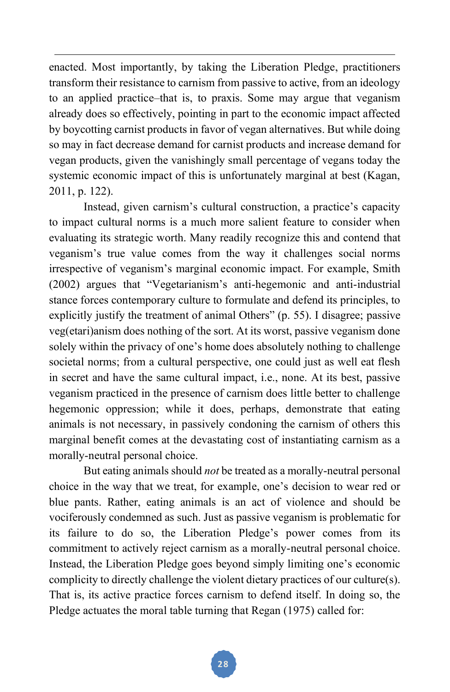enacted. Most importantly, by taking the Liberation Pledge, practitioners transform their resistance to carnism from passive to active, from an ideology to an applied practice–that is, to praxis. Some may argue that veganism already does so effectively, pointing in part to the economic impact affected by boycotting carnist products in favor of vegan alternatives. But while doing so may in fact decrease demand for carnist products and increase demand for vegan products, given the vanishingly small percentage of vegans today the systemic economic impact of this is unfortunately marginal at best (Kagan, 2011, p. 122).

 Instead, given carnism's cultural construction, a practice's capacity to impact cultural norms is a much more salient feature to consider when evaluating its strategic worth. Many readily recognize this and contend that veganism's true value comes from the way it challenges social norms irrespective of veganism's marginal economic impact. For example, Smith (2002) argues that "Vegetarianism's anti-hegemonic and anti-industrial stance forces contemporary culture to formulate and defend its principles, to explicitly justify the treatment of animal Others" (p. 55). I disagree; passive veg(etari)anism does nothing of the sort. At its worst, passive veganism done solely within the privacy of one's home does absolutely nothing to challenge societal norms; from a cultural perspective, one could just as well eat flesh in secret and have the same cultural impact, i.e., none. At its best, passive veganism practiced in the presence of carnism does little better to challenge hegemonic oppression; while it does, perhaps, demonstrate that eating animals is not necessary, in passively condoning the carnism of others this marginal benefit comes at the devastating cost of instantiating carnism as a morally-neutral personal choice.

 But eating animals should *not* be treated as a morally-neutral personal choice in the way that we treat, for example, one's decision to wear red or blue pants. Rather, eating animals is an act of violence and should be vociferously condemned as such. Just as passive veganism is problematic for its failure to do so, the Liberation Pledge's power comes from its commitment to actively reject carnism as a morally-neutral personal choice. Instead, the Liberation Pledge goes beyond simply limiting one's economic complicity to directly challenge the violent dietary practices of our culture(s). That is, its active practice forces carnism to defend itself. In doing so, the Pledge actuates the moral table turning that Regan (1975) called for: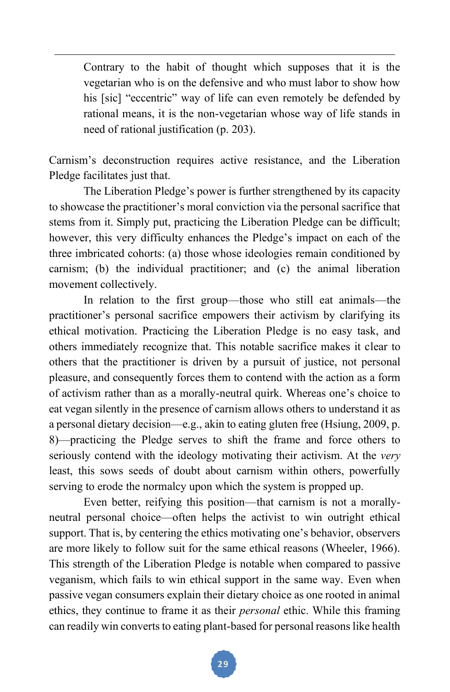Contrary to the habit of thought which supposes that it is the vegetarian who is on the defensive and who must labor to show how his [sic] "eccentric" way of life can even remotely be defended by rational means, it is the non-vegetarian whose way of life stands in need of rational justification (p. 203).

Carnism's deconstruction requires active resistance, and the Liberation Pledge facilitates just that.

 The Liberation Pledge's power is further strengthened by its capacity to showcase the practitioner's moral conviction via the personal sacrifice that stems from it. Simply put, practicing the Liberation Pledge can be difficult; however, this very difficulty enhances the Pledge's impact on each of the three imbricated cohorts: (a) those whose ideologies remain conditioned by carnism; (b) the individual practitioner; and (c) the animal liberation movement collectively.

In relation to the first group—those who still eat animals—the practitioner's personal sacrifice empowers their activism by clarifying its ethical motivation. Practicing the Liberation Pledge is no easy task, and others immediately recognize that. This notable sacrifice makes it clear to others that the practitioner is driven by a pursuit of justice, not personal pleasure, and consequently forces them to contend with the action as a form of activism rather than as a morally-neutral quirk. Whereas one's choice to eat vegan silently in the presence of carnism allows others to understand it as a personal dietary decision—e.g., akin to eating gluten free (Hsiung, 2009, p. 8)—practicing the Pledge serves to shift the frame and force others to seriously contend with the ideology motivating their activism. At the *very* least, this sows seeds of doubt about carnism within others, powerfully serving to erode the normalcy upon which the system is propped up.

Even better, reifying this position—that carnism is not a morallyneutral personal choice—often helps the activist to win outright ethical support. That is, by centering the ethics motivating one's behavior, observers are more likely to follow suit for the same ethical reasons (Wheeler, 1966). This strength of the Liberation Pledge is notable when compared to passive veganism, which fails to win ethical support in the same way. Even when passive vegan consumers explain their dietary choice as one rooted in animal ethics, they continue to frame it as their *personal* ethic. While this framing can readily win converts to eating plant-based for personal reasons like health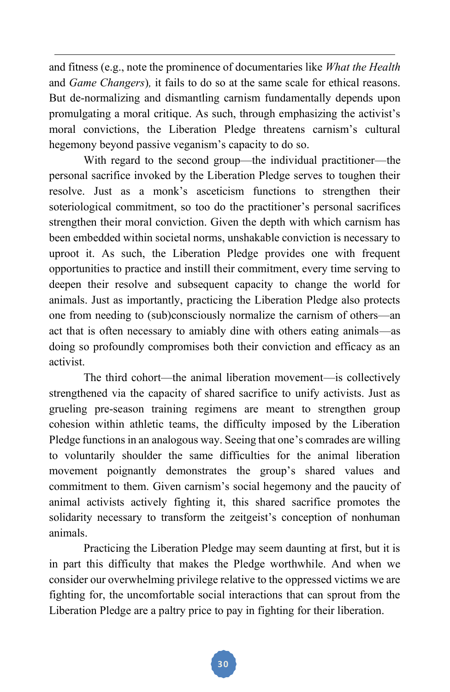and fitness (e.g., note the prominence of documentaries like *What the Health*  and *Game Changers*)*,* it fails to do so at the same scale for ethical reasons. But de-normalizing and dismantling carnism fundamentally depends upon promulgating a moral critique. As such, through emphasizing the activist's moral convictions, the Liberation Pledge threatens carnism's cultural hegemony beyond passive veganism's capacity to do so.

 With regard to the second group—the individual practitioner—the personal sacrifice invoked by the Liberation Pledge serves to toughen their resolve. Just as a monk's asceticism functions to strengthen their soteriological commitment, so too do the practitioner's personal sacrifices strengthen their moral conviction. Given the depth with which carnism has been embedded within societal norms, unshakable conviction is necessary to uproot it. As such, the Liberation Pledge provides one with frequent opportunities to practice and instill their commitment, every time serving to deepen their resolve and subsequent capacity to change the world for animals. Just as importantly, practicing the Liberation Pledge also protects one from needing to (sub)consciously normalize the carnism of others—an act that is often necessary to amiably dine with others eating animals—as doing so profoundly compromises both their conviction and efficacy as an activist.

The third cohort—the animal liberation movement—is collectively strengthened via the capacity of shared sacrifice to unify activists. Just as grueling pre-season training regimens are meant to strengthen group cohesion within athletic teams, the difficulty imposed by the Liberation Pledge functions in an analogous way. Seeing that one's comrades are willing to voluntarily shoulder the same difficulties for the animal liberation movement poignantly demonstrates the group's shared values and commitment to them. Given carnism's social hegemony and the paucity of animal activists actively fighting it, this shared sacrifice promotes the solidarity necessary to transform the zeitgeist's conception of nonhuman animals.

 Practicing the Liberation Pledge may seem daunting at first, but it is in part this difficulty that makes the Pledge worthwhile. And when we consider our overwhelming privilege relative to the oppressed victims we are fighting for, the uncomfortable social interactions that can sprout from the Liberation Pledge are a paltry price to pay in fighting for their liberation.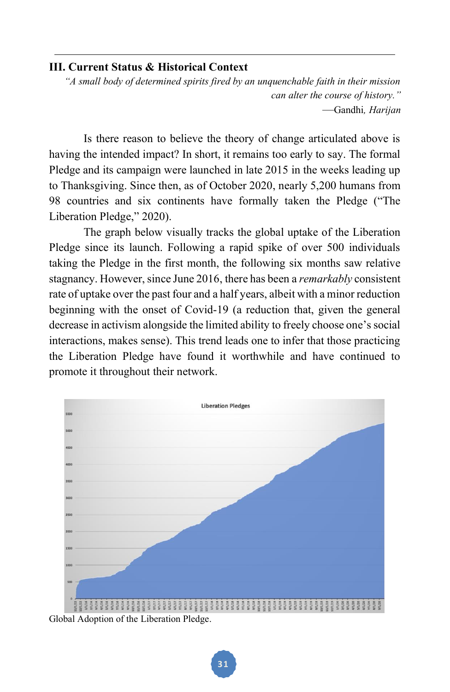#### **III. Current Status & Historical Context**

*"A small body of determined spirits fired by an unquenchable faith in their mission can alter the course of history."* —Gandhi*, Harijan* 

 Is there reason to believe the theory of change articulated above is having the intended impact? In short, it remains too early to say. The formal Pledge and its campaign were launched in late 2015 in the weeks leading up to Thanksgiving. Since then, as of October 2020, nearly 5,200 humans from 98 countries and six continents have formally taken the Pledge ("The Liberation Pledge," 2020).

 The graph below visually tracks the global uptake of the Liberation Pledge since its launch. Following a rapid spike of over 500 individuals taking the Pledge in the first month, the following six months saw relative stagnancy. However, since June 2016, there has been a *remarkably* consistent rate of uptake over the past four and a half years, albeit with a minor reduction beginning with the onset of Covid-19 (a reduction that, given the general decrease in activism alongside the limited ability to freely choose one's social interactions, makes sense). This trend leads one to infer that those practicing the Liberation Pledge have found it worthwhile and have continued to promote it throughout their network.



Global Adoption of the Liberation Pledge.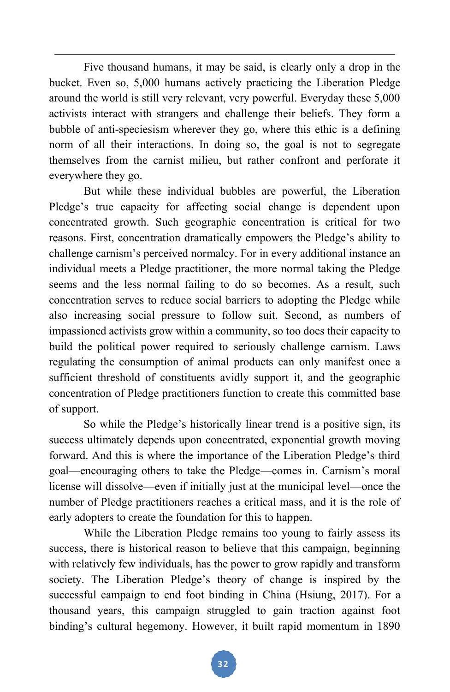Five thousand humans, it may be said, is clearly only a drop in the bucket. Even so, 5,000 humans actively practicing the Liberation Pledge around the world is still very relevant, very powerful. Everyday these 5,000 activists interact with strangers and challenge their beliefs. They form a bubble of anti-speciesism wherever they go, where this ethic is a defining norm of all their interactions. In doing so, the goal is not to segregate themselves from the carnist milieu, but rather confront and perforate it everywhere they go.

But while these individual bubbles are powerful, the Liberation Pledge's true capacity for affecting social change is dependent upon concentrated growth. Such geographic concentration is critical for two reasons. First, concentration dramatically empowers the Pledge's ability to challenge carnism's perceived normalcy. For in every additional instance an individual meets a Pledge practitioner, the more normal taking the Pledge seems and the less normal failing to do so becomes. As a result, such concentration serves to reduce social barriers to adopting the Pledge while also increasing social pressure to follow suit. Second, as numbers of impassioned activists grow within a community, so too does their capacity to build the political power required to seriously challenge carnism. Laws regulating the consumption of animal products can only manifest once a sufficient threshold of constituents avidly support it, and the geographic concentration of Pledge practitioners function to create this committed base of support.

So while the Pledge's historically linear trend is a positive sign, its success ultimately depends upon concentrated, exponential growth moving forward. And this is where the importance of the Liberation Pledge's third goal—encouraging others to take the Pledge—comes in. Carnism's moral license will dissolve—even if initially just at the municipal level—once the number of Pledge practitioners reaches a critical mass, and it is the role of early adopters to create the foundation for this to happen.

While the Liberation Pledge remains too young to fairly assess its success, there is historical reason to believe that this campaign, beginning with relatively few individuals, has the power to grow rapidly and transform society. The Liberation Pledge's theory of change is inspired by the successful campaign to end foot binding in China (Hsiung, 2017). For a thousand years, this campaign struggled to gain traction against foot binding's cultural hegemony. However, it built rapid momentum in 1890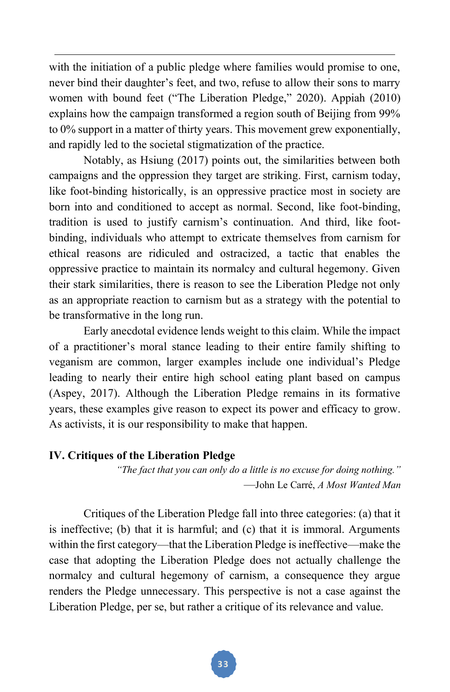with the initiation of a public pledge where families would promise to one, never bind their daughter's feet, and two, refuse to allow their sons to marry women with bound feet ("The Liberation Pledge," 2020). Appiah (2010) explains how the campaign transformed a region south of Beijing from 99% to 0% support in a matter of thirty years. This movement grew exponentially, and rapidly led to the societal stigmatization of the practice.

 Notably, as Hsiung (2017) points out, the similarities between both campaigns and the oppression they target are striking. First, carnism today, like foot-binding historically, is an oppressive practice most in society are born into and conditioned to accept as normal. Second, like foot-binding, tradition is used to justify carnism's continuation. And third, like footbinding, individuals who attempt to extricate themselves from carnism for ethical reasons are ridiculed and ostracized, a tactic that enables the oppressive practice to maintain its normalcy and cultural hegemony. Given their stark similarities, there is reason to see the Liberation Pledge not only as an appropriate reaction to carnism but as a strategy with the potential to be transformative in the long run.

 Early anecdotal evidence lends weight to this claim. While the impact of a practitioner's moral stance leading to their entire family shifting to veganism are common, larger examples include one individual's Pledge leading to nearly their entire high school eating plant based on campus (Aspey, 2017). Although the Liberation Pledge remains in its formative years, these examples give reason to expect its power and efficacy to grow. As activists, it is our responsibility to make that happen.

#### **IV. Critiques of the Liberation Pledge**

*"The fact that you can only do a little is no excuse for doing nothing."* —John Le Carré, *A Most Wanted Man*

 Critiques of the Liberation Pledge fall into three categories: (a) that it is ineffective; (b) that it is harmful; and (c) that it is immoral. Arguments within the first category—that the Liberation Pledge is ineffective—make the case that adopting the Liberation Pledge does not actually challenge the normalcy and cultural hegemony of carnism, a consequence they argue renders the Pledge unnecessary. This perspective is not a case against the Liberation Pledge, per se, but rather a critique of its relevance and value.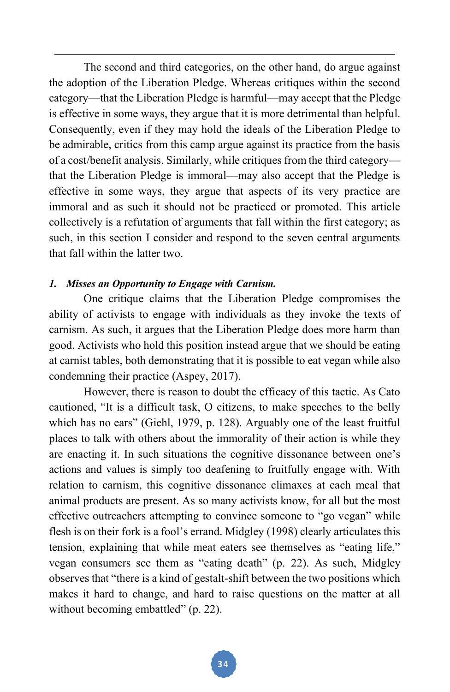The second and third categories, on the other hand, do argue against the adoption of the Liberation Pledge. Whereas critiques within the second category—that the Liberation Pledge is harmful—may accept that the Pledge is effective in some ways, they argue that it is more detrimental than helpful. Consequently, even if they may hold the ideals of the Liberation Pledge to be admirable, critics from this camp argue against its practice from the basis of a cost/benefit analysis. Similarly, while critiques from the third category that the Liberation Pledge is immoral—may also accept that the Pledge is effective in some ways, they argue that aspects of its very practice are immoral and as such it should not be practiced or promoted. This article collectively is a refutation of arguments that fall within the first category; as such, in this section I consider and respond to the seven central arguments that fall within the latter two.

#### *1. Misses an Opportunity to Engage with Carnism.*

 One critique claims that the Liberation Pledge compromises the ability of activists to engage with individuals as they invoke the texts of carnism. As such, it argues that the Liberation Pledge does more harm than good. Activists who hold this position instead argue that we should be eating at carnist tables, both demonstrating that it is possible to eat vegan while also condemning their practice (Aspey, 2017).

 However, there is reason to doubt the efficacy of this tactic. As Cato cautioned, "It is a difficult task, O citizens, to make speeches to the belly which has no ears" (Giehl, 1979, p. 128). Arguably one of the least fruitful places to talk with others about the immorality of their action is while they are enacting it. In such situations the cognitive dissonance between one's actions and values is simply too deafening to fruitfully engage with. With relation to carnism, this cognitive dissonance climaxes at each meal that animal products are present. As so many activists know, for all but the most effective outreachers attempting to convince someone to "go vegan" while flesh is on their fork is a fool's errand. Midgley (1998) clearly articulates this tension, explaining that while meat eaters see themselves as "eating life," vegan consumers see them as "eating death" (p. 22). As such, Midgley observes that "there is a kind of gestalt-shift between the two positions which makes it hard to change, and hard to raise questions on the matter at all without becoming embattled" (p. 22).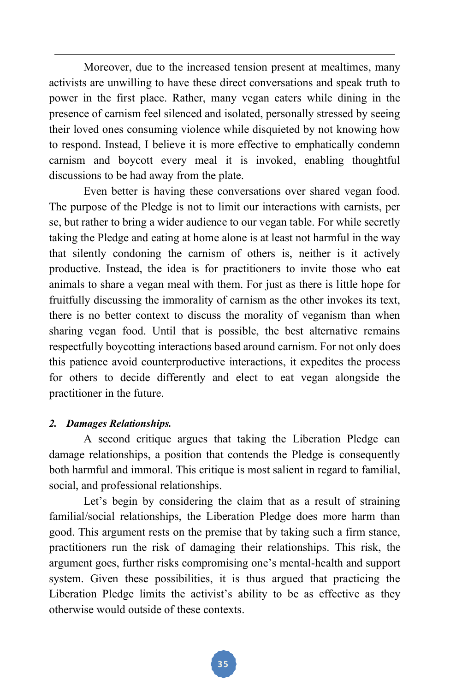Moreover, due to the increased tension present at mealtimes, many activists are unwilling to have these direct conversations and speak truth to power in the first place. Rather, many vegan eaters while dining in the presence of carnism feel silenced and isolated, personally stressed by seeing their loved ones consuming violence while disquieted by not knowing how to respond. Instead, I believe it is more effective to emphatically condemn carnism and boycott every meal it is invoked, enabling thoughtful discussions to be had away from the plate.

 Even better is having these conversations over shared vegan food. The purpose of the Pledge is not to limit our interactions with carnists, per se, but rather to bring a wider audience to our vegan table. For while secretly taking the Pledge and eating at home alone is at least not harmful in the way that silently condoning the carnism of others is, neither is it actively productive. Instead, the idea is for practitioners to invite those who eat animals to share a vegan meal with them. For just as there is little hope for fruitfully discussing the immorality of carnism as the other invokes its text, there is no better context to discuss the morality of veganism than when sharing vegan food. Until that is possible, the best alternative remains respectfully boycotting interactions based around carnism. For not only does this patience avoid counterproductive interactions, it expedites the process for others to decide differently and elect to eat vegan alongside the practitioner in the future.

#### *2. Damages Relationships.*

 A second critique argues that taking the Liberation Pledge can damage relationships, a position that contends the Pledge is consequently both harmful and immoral. This critique is most salient in regard to familial, social, and professional relationships.

Let's begin by considering the claim that as a result of straining familial/social relationships, the Liberation Pledge does more harm than good. This argument rests on the premise that by taking such a firm stance, practitioners run the risk of damaging their relationships. This risk, the argument goes, further risks compromising one's mental-health and support system. Given these possibilities, it is thus argued that practicing the Liberation Pledge limits the activist's ability to be as effective as they otherwise would outside of these contexts.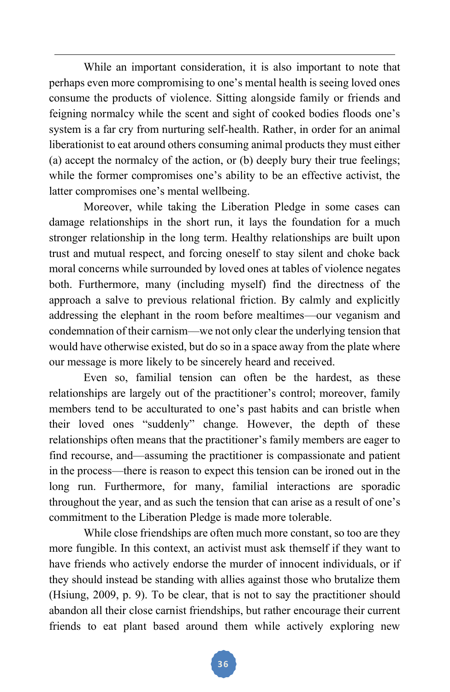While an important consideration, it is also important to note that perhaps even more compromising to one's mental health is seeing loved ones consume the products of violence. Sitting alongside family or friends and feigning normalcy while the scent and sight of cooked bodies floods one's system is a far cry from nurturing self-health. Rather, in order for an animal liberationist to eat around others consuming animal products they must either (a) accept the normalcy of the action, or (b) deeply bury their true feelings; while the former compromises one's ability to be an effective activist, the latter compromises one's mental wellbeing.

Moreover, while taking the Liberation Pledge in some cases can damage relationships in the short run, it lays the foundation for a much stronger relationship in the long term. Healthy relationships are built upon trust and mutual respect, and forcing oneself to stay silent and choke back moral concerns while surrounded by loved ones at tables of violence negates both. Furthermore, many (including myself) find the directness of the approach a salve to previous relational friction. By calmly and explicitly addressing the elephant in the room before mealtimes—our veganism and condemnation of their carnism—we not only clear the underlying tension that would have otherwise existed, but do so in a space away from the plate where our message is more likely to be sincerely heard and received.

 Even so, familial tension can often be the hardest, as these relationships are largely out of the practitioner's control; moreover, family members tend to be acculturated to one's past habits and can bristle when their loved ones "suddenly" change. However, the depth of these relationships often means that the practitioner's family members are eager to find recourse, and—assuming the practitioner is compassionate and patient in the process—there is reason to expect this tension can be ironed out in the long run. Furthermore, for many, familial interactions are sporadic throughout the year, and as such the tension that can arise as a result of one's commitment to the Liberation Pledge is made more tolerable.

 While close friendships are often much more constant, so too are they more fungible. In this context, an activist must ask themself if they want to have friends who actively endorse the murder of innocent individuals, or if they should instead be standing with allies against those who brutalize them (Hsiung, 2009, p. 9). To be clear, that is not to say the practitioner should abandon all their close carnist friendships, but rather encourage their current friends to eat plant based around them while actively exploring new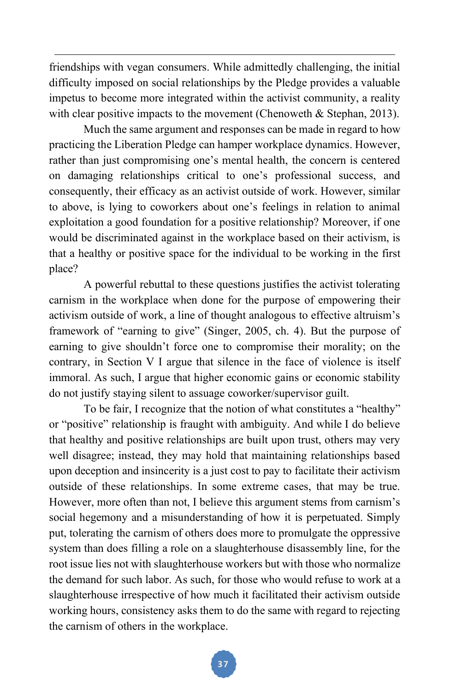friendships with vegan consumers. While admittedly challenging, the initial difficulty imposed on social relationships by the Pledge provides a valuable impetus to become more integrated within the activist community, a reality with clear positive impacts to the movement (Chenoweth  $\&$  Stephan, 2013).

 Much the same argument and responses can be made in regard to how practicing the Liberation Pledge can hamper workplace dynamics. However, rather than just compromising one's mental health, the concern is centered on damaging relationships critical to one's professional success, and consequently, their efficacy as an activist outside of work. However, similar to above, is lying to coworkers about one's feelings in relation to animal exploitation a good foundation for a positive relationship? Moreover, if one would be discriminated against in the workplace based on their activism, is that a healthy or positive space for the individual to be working in the first place?

A powerful rebuttal to these questions justifies the activist tolerating carnism in the workplace when done for the purpose of empowering their activism outside of work, a line of thought analogous to effective altruism's framework of "earning to give" (Singer, 2005, ch. 4). But the purpose of earning to give shouldn't force one to compromise their morality; on the contrary, in Section V I argue that silence in the face of violence is itself immoral. As such, I argue that higher economic gains or economic stability do not justify staying silent to assuage coworker/supervisor guilt.

 To be fair, I recognize that the notion of what constitutes a "healthy" or "positive" relationship is fraught with ambiguity. And while I do believe that healthy and positive relationships are built upon trust, others may very well disagree; instead, they may hold that maintaining relationships based upon deception and insincerity is a just cost to pay to facilitate their activism outside of these relationships. In some extreme cases, that may be true. However, more often than not, I believe this argument stems from carnism's social hegemony and a misunderstanding of how it is perpetuated. Simply put, tolerating the carnism of others does more to promulgate the oppressive system than does filling a role on a slaughterhouse disassembly line, for the root issue lies not with slaughterhouse workers but with those who normalize the demand for such labor. As such, for those who would refuse to work at a slaughterhouse irrespective of how much it facilitated their activism outside working hours, consistency asks them to do the same with regard to rejecting the carnism of others in the workplace.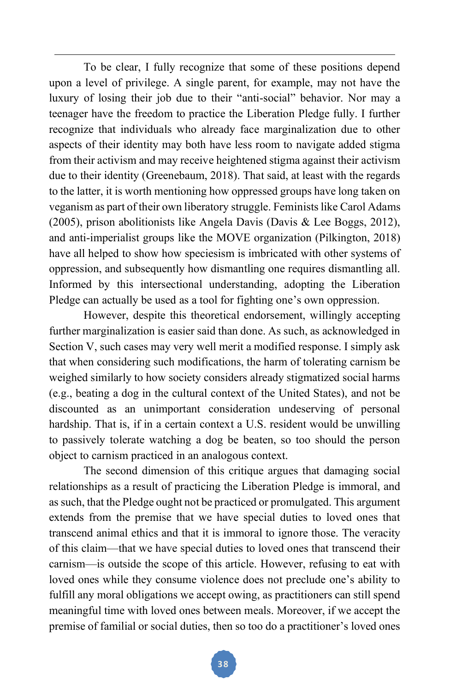To be clear, I fully recognize that some of these positions depend upon a level of privilege. A single parent, for example, may not have the luxury of losing their job due to their "anti-social" behavior. Nor may a teenager have the freedom to practice the Liberation Pledge fully. I further recognize that individuals who already face marginalization due to other aspects of their identity may both have less room to navigate added stigma from their activism and may receive heightened stigma against their activism due to their identity (Greenebaum, 2018). That said, at least with the regards to the latter, it is worth mentioning how oppressed groups have long taken on veganism as part of their own liberatory struggle. Feminists like Carol Adams (2005), prison abolitionists like Angela Davis (Davis & Lee Boggs, 2012), and anti-imperialist groups like the MOVE organization (Pilkington, 2018) have all helped to show how speciesism is imbricated with other systems of oppression, and subsequently how dismantling one requires dismantling all. Informed by this intersectional understanding, adopting the Liberation Pledge can actually be used as a tool for fighting one's own oppression.

However, despite this theoretical endorsement, willingly accepting further marginalization is easier said than done. As such, as acknowledged in Section V, such cases may very well merit a modified response. I simply ask that when considering such modifications, the harm of tolerating carnism be weighed similarly to how society considers already stigmatized social harms (e.g., beating a dog in the cultural context of the United States), and not be discounted as an unimportant consideration undeserving of personal hardship. That is, if in a certain context a U.S. resident would be unwilling to passively tolerate watching a dog be beaten, so too should the person object to carnism practiced in an analogous context.

 The second dimension of this critique argues that damaging social relationships as a result of practicing the Liberation Pledge is immoral, and as such, that the Pledge ought not be practiced or promulgated. This argument extends from the premise that we have special duties to loved ones that transcend animal ethics and that it is immoral to ignore those. The veracity of this claim—that we have special duties to loved ones that transcend their carnism—is outside the scope of this article. However, refusing to eat with loved ones while they consume violence does not preclude one's ability to fulfill any moral obligations we accept owing, as practitioners can still spend meaningful time with loved ones between meals. Moreover, if we accept the premise of familial or social duties, then so too do a practitioner's loved ones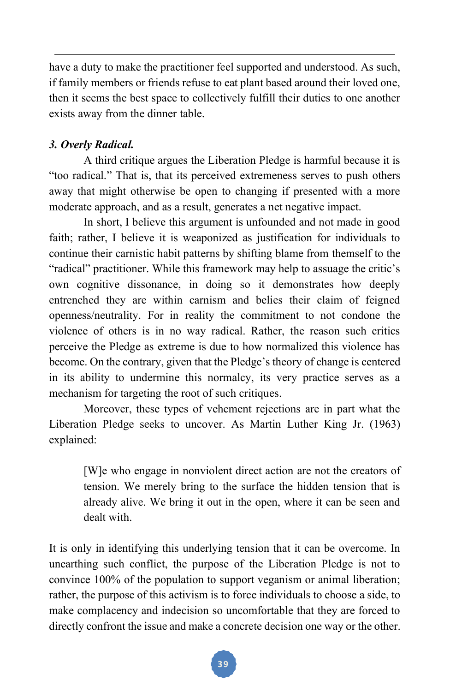have a duty to make the practitioner feel supported and understood. As such, if family members or friends refuse to eat plant based around their loved one, then it seems the best space to collectively fulfill their duties to one another exists away from the dinner table.

# *3. Overly Radical.*

 A third critique argues the Liberation Pledge is harmful because it is "too radical." That is, that its perceived extremeness serves to push others away that might otherwise be open to changing if presented with a more moderate approach, and as a result, generates a net negative impact.

 In short, I believe this argument is unfounded and not made in good faith; rather, I believe it is weaponized as justification for individuals to continue their carnistic habit patterns by shifting blame from themself to the "radical" practitioner. While this framework may help to assuage the critic's own cognitive dissonance, in doing so it demonstrates how deeply entrenched they are within carnism and belies their claim of feigned openness/neutrality. For in reality the commitment to not condone the violence of others is in no way radical. Rather, the reason such critics perceive the Pledge as extreme is due to how normalized this violence has become. On the contrary, given that the Pledge's theory of change is centered in its ability to undermine this normalcy, its very practice serves as a mechanism for targeting the root of such critiques.

 Moreover, these types of vehement rejections are in part what the Liberation Pledge seeks to uncover. As Martin Luther King Jr. (1963) explained:

[W]e who engage in nonviolent direct action are not the creators of tension. We merely bring to the surface the hidden tension that is already alive. We bring it out in the open, where it can be seen and dealt with.

It is only in identifying this underlying tension that it can be overcome. In unearthing such conflict, the purpose of the Liberation Pledge is not to convince 100% of the population to support veganism or animal liberation; rather, the purpose of this activism is to force individuals to choose a side, to make complacency and indecision so uncomfortable that they are forced to directly confront the issue and make a concrete decision one way or the other.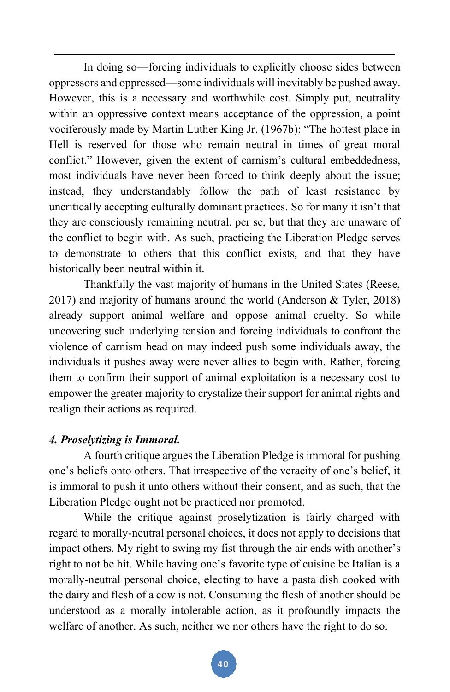In doing so—forcing individuals to explicitly choose sides between oppressors and oppressed—some individuals will inevitably be pushed away. However, this is a necessary and worthwhile cost. Simply put, neutrality within an oppressive context means acceptance of the oppression, a point vociferously made by Martin Luther King Jr. (1967b): "The hottest place in Hell is reserved for those who remain neutral in times of great moral conflict." However, given the extent of carnism's cultural embeddedness, most individuals have never been forced to think deeply about the issue; instead, they understandably follow the path of least resistance by uncritically accepting culturally dominant practices. So for many it isn't that they are consciously remaining neutral, per se, but that they are unaware of the conflict to begin with. As such, practicing the Liberation Pledge serves to demonstrate to others that this conflict exists, and that they have historically been neutral within it.

Thankfully the vast majority of humans in the United States (Reese, 2017) and majority of humans around the world (Anderson & Tyler, 2018) already support animal welfare and oppose animal cruelty. So while uncovering such underlying tension and forcing individuals to confront the violence of carnism head on may indeed push some individuals away, the individuals it pushes away were never allies to begin with. Rather, forcing them to confirm their support of animal exploitation is a necessary cost to empower the greater majority to crystalize their support for animal rights and realign their actions as required.

#### *4. Proselytizing is Immoral.*

 A fourth critique argues the Liberation Pledge is immoral for pushing one's beliefs onto others. That irrespective of the veracity of one's belief, it is immoral to push it unto others without their consent, and as such, that the Liberation Pledge ought not be practiced nor promoted.

 While the critique against proselytization is fairly charged with regard to morally-neutral personal choices, it does not apply to decisions that impact others. My right to swing my fist through the air ends with another's right to not be hit. While having one's favorite type of cuisine be Italian is a morally-neutral personal choice, electing to have a pasta dish cooked with the dairy and flesh of a cow is not. Consuming the flesh of another should be understood as a morally intolerable action, as it profoundly impacts the welfare of another. As such, neither we nor others have the right to do so.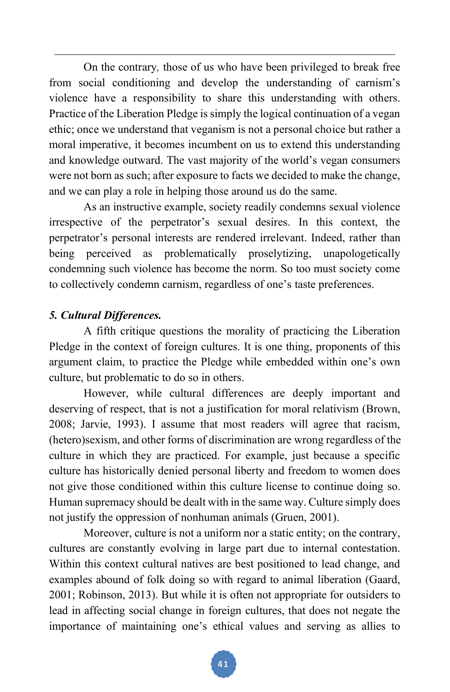On the contrary*,* those of us who have been privileged to break free from social conditioning and develop the understanding of carnism's violence have a responsibility to share this understanding with others. Practice of the Liberation Pledge is simply the logical continuation of a vegan ethic; once we understand that veganism is not a personal choice but rather a moral imperative, it becomes incumbent on us to extend this understanding and knowledge outward. The vast majority of the world's vegan consumers were not born as such; after exposure to facts we decided to make the change, and we can play a role in helping those around us do the same.

 As an instructive example, society readily condemns sexual violence irrespective of the perpetrator's sexual desires. In this context, the perpetrator's personal interests are rendered irrelevant. Indeed, rather than being perceived as problematically proselytizing, unapologetically condemning such violence has become the norm. So too must society come to collectively condemn carnism, regardless of one's taste preferences.

## *5. Cultural Differences.*

 A fifth critique questions the morality of practicing the Liberation Pledge in the context of foreign cultures. It is one thing, proponents of this argument claim, to practice the Pledge while embedded within one's own culture, but problematic to do so in others.

 However, while cultural differences are deeply important and deserving of respect, that is not a justification for moral relativism (Brown, 2008; Jarvie, 1993). I assume that most readers will agree that racism, (hetero)sexism, and other forms of discrimination are wrong regardless of the culture in which they are practiced. For example, just because a specific culture has historically denied personal liberty and freedom to women does not give those conditioned within this culture license to continue doing so. Human supremacy should be dealt with in the same way. Culture simply does not justify the oppression of nonhuman animals (Gruen, 2001).

 Moreover, culture is not a uniform nor a static entity; on the contrary, cultures are constantly evolving in large part due to internal contestation. Within this context cultural natives are best positioned to lead change, and examples abound of folk doing so with regard to animal liberation (Gaard, 2001; Robinson, 2013). But while it is often not appropriate for outsiders to lead in affecting social change in foreign cultures, that does not negate the importance of maintaining one's ethical values and serving as allies to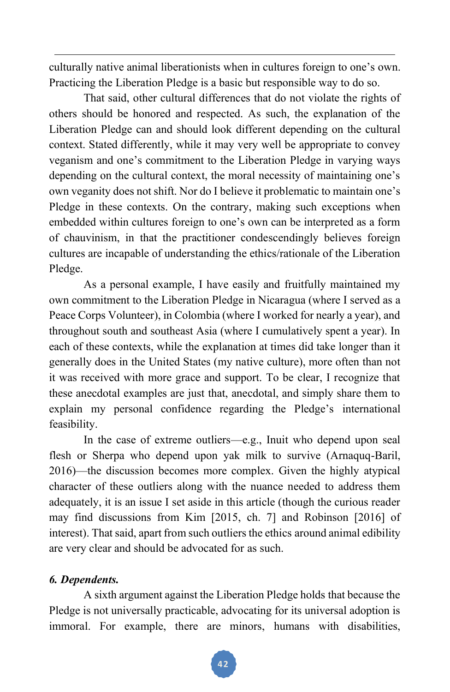culturally native animal liberationists when in cultures foreign to one's own. Practicing the Liberation Pledge is a basic but responsible way to do so.

 That said, other cultural differences that do not violate the rights of others should be honored and respected. As such, the explanation of the Liberation Pledge can and should look different depending on the cultural context. Stated differently, while it may very well be appropriate to convey veganism and one's commitment to the Liberation Pledge in varying ways depending on the cultural context, the moral necessity of maintaining one's own veganity does not shift. Nor do I believe it problematic to maintain one's Pledge in these contexts. On the contrary, making such exceptions when embedded within cultures foreign to one's own can be interpreted as a form of chauvinism, in that the practitioner condescendingly believes foreign cultures are incapable of understanding the ethics/rationale of the Liberation Pledge.

 As a personal example, I have easily and fruitfully maintained my own commitment to the Liberation Pledge in Nicaragua (where I served as a Peace Corps Volunteer), in Colombia (where I worked for nearly a year), and throughout south and southeast Asia (where I cumulatively spent a year). In each of these contexts, while the explanation at times did take longer than it generally does in the United States (my native culture), more often than not it was received with more grace and support. To be clear, I recognize that these anecdotal examples are just that, anecdotal, and simply share them to explain my personal confidence regarding the Pledge's international feasibility.

 In the case of extreme outliers—e.g., Inuit who depend upon seal flesh or Sherpa who depend upon yak milk to survive (Arnaquq-Baril, 2016)—the discussion becomes more complex. Given the highly atypical character of these outliers along with the nuance needed to address them adequately, it is an issue I set aside in this article (though the curious reader may find discussions from Kim [2015, ch. 7] and Robinson [2016] of interest). That said, apart from such outliers the ethics around animal edibility are very clear and should be advocated for as such.

# *6. Dependents.*

A sixth argument against the Liberation Pledge holds that because the Pledge is not universally practicable, advocating for its universal adoption is immoral. For example, there are minors, humans with disabilities,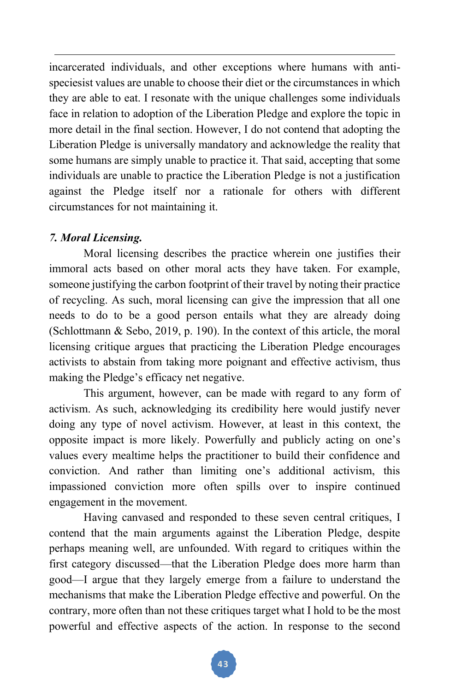incarcerated individuals, and other exceptions where humans with antispeciesist values are unable to choose their diet or the circumstances in which they are able to eat. I resonate with the unique challenges some individuals face in relation to adoption of the Liberation Pledge and explore the topic in more detail in the final section. However, I do not contend that adopting the Liberation Pledge is universally mandatory and acknowledge the reality that some humans are simply unable to practice it. That said, accepting that some individuals are unable to practice the Liberation Pledge is not a justification against the Pledge itself nor a rationale for others with different circumstances for not maintaining it.

## *7. Moral Licensing.*

 Moral licensing describes the practice wherein one justifies their immoral acts based on other moral acts they have taken. For example, someone justifying the carbon footprint of their travel by noting their practice of recycling. As such, moral licensing can give the impression that all one needs to do to be a good person entails what they are already doing (Schlottmann & Sebo, 2019, p. 190). In the context of this article, the moral licensing critique argues that practicing the Liberation Pledge encourages activists to abstain from taking more poignant and effective activism, thus making the Pledge's efficacy net negative.

 This argument, however, can be made with regard to any form of activism. As such, acknowledging its credibility here would justify never doing any type of novel activism. However, at least in this context, the opposite impact is more likely. Powerfully and publicly acting on one's values every mealtime helps the practitioner to build their confidence and conviction. And rather than limiting one's additional activism, this impassioned conviction more often spills over to inspire continued engagement in the movement.

Having canvased and responded to these seven central critiques, I contend that the main arguments against the Liberation Pledge, despite perhaps meaning well, are unfounded. With regard to critiques within the first category discussed—that the Liberation Pledge does more harm than good—I argue that they largely emerge from a failure to understand the mechanisms that make the Liberation Pledge effective and powerful. On the contrary, more often than not these critiques target what I hold to be the most powerful and effective aspects of the action. In response to the second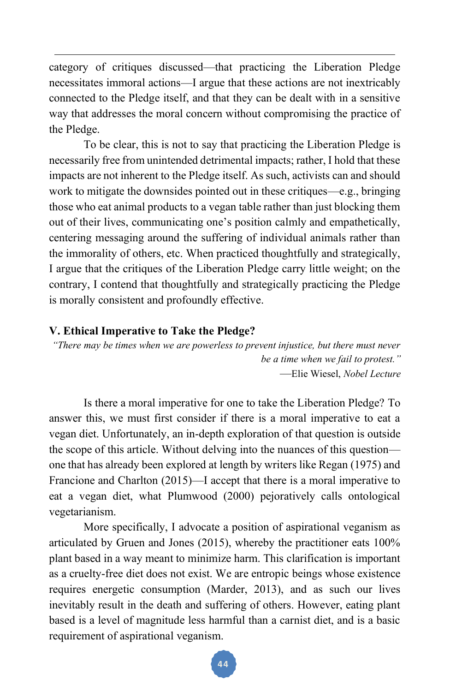category of critiques discussed—that practicing the Liberation Pledge necessitates immoral actions—I argue that these actions are not inextricably connected to the Pledge itself, and that they can be dealt with in a sensitive way that addresses the moral concern without compromising the practice of the Pledge.

 To be clear, this is not to say that practicing the Liberation Pledge is necessarily free from unintended detrimental impacts; rather, I hold that these impacts are not inherent to the Pledge itself. As such, activists can and should work to mitigate the downsides pointed out in these critiques—e.g., bringing those who eat animal products to a vegan table rather than just blocking them out of their lives, communicating one's position calmly and empathetically, centering messaging around the suffering of individual animals rather than the immorality of others, etc. When practiced thoughtfully and strategically, I argue that the critiques of the Liberation Pledge carry little weight; on the contrary, I contend that thoughtfully and strategically practicing the Pledge is morally consistent and profoundly effective.

#### **V. Ethical Imperative to Take the Pledge?**

*"There may be times when we are powerless to prevent injustice, but there must never be a time when we fail to protest."* —Elie Wiesel, *Nobel Lecture*

Is there a moral imperative for one to take the Liberation Pledge? To answer this, we must first consider if there is a moral imperative to eat a vegan diet. Unfortunately, an in-depth exploration of that question is outside the scope of this article. Without delving into the nuances of this question one that has already been explored at length by writers like Regan (1975) and Francione and Charlton (2015)—I accept that there is a moral imperative to eat a vegan diet, what Plumwood (2000) pejoratively calls ontological vegetarianism.

More specifically, I advocate a position of aspirational veganism as articulated by Gruen and Jones (2015), whereby the practitioner eats 100% plant based in a way meant to minimize harm. This clarification is important as a cruelty-free diet does not exist. We are entropic beings whose existence requires energetic consumption (Marder, 2013), and as such our lives inevitably result in the death and suffering of others. However, eating plant based is a level of magnitude less harmful than a carnist diet, and is a basic requirement of aspirational veganism.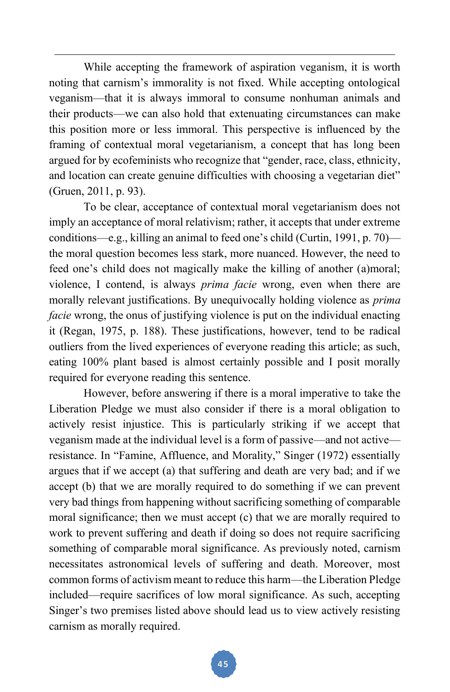While accepting the framework of aspiration veganism, it is worth noting that carnism's immorality is not fixed. While accepting ontological veganism—that it is always immoral to consume nonhuman animals and their products—we can also hold that extenuating circumstances can make this position more or less immoral. This perspective is influenced by the framing of contextual moral vegetarianism, a concept that has long been argued for by ecofeminists who recognize that "gender, race, class, ethnicity, and location can create genuine difficulties with choosing a vegetarian diet" (Gruen, 2011, p. 93).

To be clear, acceptance of contextual moral vegetarianism does not imply an acceptance of moral relativism; rather, it accepts that under extreme conditions—e.g., killing an animal to feed one's child (Curtin, 1991, p. 70) the moral question becomes less stark, more nuanced. However, the need to feed one's child does not magically make the killing of another (a)moral; violence, I contend, is always *prima facie* wrong, even when there are morally relevant justifications. By unequivocally holding violence as *prima facie* wrong, the onus of justifying violence is put on the individual enacting it (Regan, 1975, p. 188). These justifications, however, tend to be radical outliers from the lived experiences of everyone reading this article; as such, eating 100% plant based is almost certainly possible and I posit morally required for everyone reading this sentence.

However, before answering if there is a moral imperative to take the Liberation Pledge we must also consider if there is a moral obligation to actively resist injustice. This is particularly striking if we accept that veganism made at the individual level is a form of passive—and not active resistance. In "Famine, Affluence, and Morality," Singer (1972) essentially argues that if we accept (a) that suffering and death are very bad; and if we accept (b) that we are morally required to do something if we can prevent very bad things from happening without sacrificing something of comparable moral significance; then we must accept (c) that we are morally required to work to prevent suffering and death if doing so does not require sacrificing something of comparable moral significance. As previously noted, carnism necessitates astronomical levels of suffering and death. Moreover, most common forms of activism meant to reduce this harm—the Liberation Pledge included—require sacrifices of low moral significance. As such, accepting Singer's two premises listed above should lead us to view actively resisting carnism as morally required.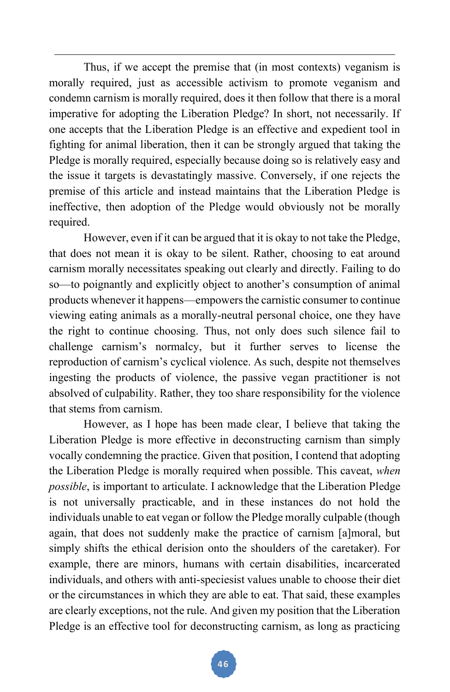Thus, if we accept the premise that (in most contexts) veganism is morally required, just as accessible activism to promote veganism and condemn carnism is morally required, does it then follow that there is a moral imperative for adopting the Liberation Pledge? In short, not necessarily. If one accepts that the Liberation Pledge is an effective and expedient tool in fighting for animal liberation, then it can be strongly argued that taking the Pledge is morally required, especially because doing so is relatively easy and the issue it targets is devastatingly massive. Conversely, if one rejects the premise of this article and instead maintains that the Liberation Pledge is ineffective, then adoption of the Pledge would obviously not be morally required.

However, even if it can be argued that it is okay to not take the Pledge, that does not mean it is okay to be silent. Rather, choosing to eat around carnism morally necessitates speaking out clearly and directly. Failing to do so—to poignantly and explicitly object to another's consumption of animal products whenever it happens—empowers the carnistic consumer to continue viewing eating animals as a morally-neutral personal choice, one they have the right to continue choosing. Thus, not only does such silence fail to challenge carnism's normalcy, but it further serves to license the reproduction of carnism's cyclical violence. As such, despite not themselves ingesting the products of violence, the passive vegan practitioner is not absolved of culpability. Rather, they too share responsibility for the violence that stems from carnism.

However, as I hope has been made clear, I believe that taking the Liberation Pledge is more effective in deconstructing carnism than simply vocally condemning the practice. Given that position, I contend that adopting the Liberation Pledge is morally required when possible. This caveat, *when possible*, is important to articulate. I acknowledge that the Liberation Pledge is not universally practicable, and in these instances do not hold the individuals unable to eat vegan or follow the Pledge morally culpable (though again, that does not suddenly make the practice of carnism [a]moral, but simply shifts the ethical derision onto the shoulders of the caretaker). For example, there are minors, humans with certain disabilities, incarcerated individuals, and others with anti-speciesist values unable to choose their diet or the circumstances in which they are able to eat. That said, these examples are clearly exceptions, not the rule. And given my position that the Liberation Pledge is an effective tool for deconstructing carnism, as long as practicing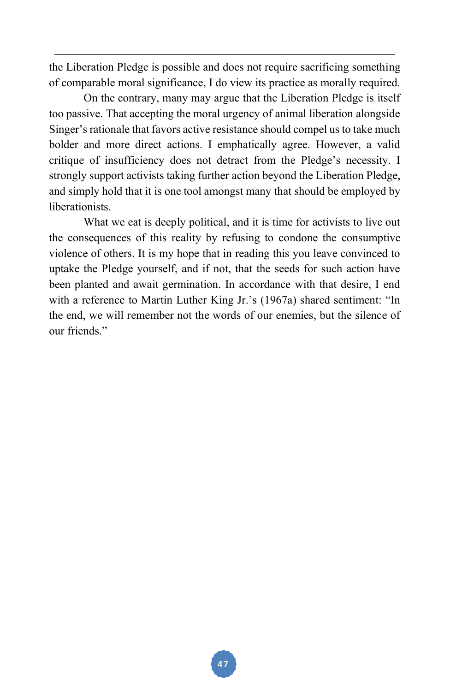the Liberation Pledge is possible and does not require sacrificing something of comparable moral significance, I do view its practice as morally required.

On the contrary, many may argue that the Liberation Pledge is itself too passive. That accepting the moral urgency of animal liberation alongside Singer's rationale that favors active resistance should compel us to take much bolder and more direct actions. I emphatically agree. However, a valid critique of insufficiency does not detract from the Pledge's necessity. I strongly support activists taking further action beyond the Liberation Pledge, and simply hold that it is one tool amongst many that should be employed by liberationists.

What we eat is deeply political, and it is time for activists to live out the consequences of this reality by refusing to condone the consumptive violence of others. It is my hope that in reading this you leave convinced to uptake the Pledge yourself, and if not, that the seeds for such action have been planted and await germination. In accordance with that desire, I end with a reference to Martin Luther King Jr.'s (1967a) shared sentiment: "In the end, we will remember not the words of our enemies, but the silence of our friends."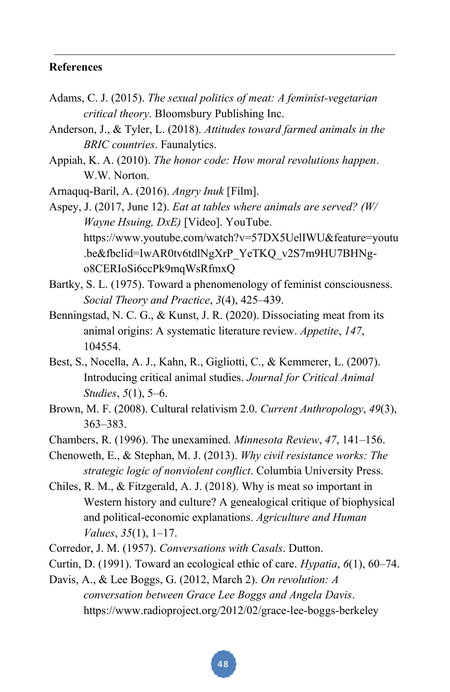#### **References**

- Adams, C. J. (2015). *The sexual politics of meat: A feminist-vegetarian critical theory*. Bloomsbury Publishing Inc.
- Anderson, J., & Tyler, L. (2018). *Attitudes toward farmed animals in the BRIC countries*. Faunalytics.
- Appiah, K. A. (2010). *The honor code: How moral revolutions happen*. W.W. Norton.

Arnaquq-Baril, A. (2016). *Angry Inuk* [Film].

Aspey, J. (2017, June 12). *Eat at tables where animals are served? (W/ Wayne Hsuing, DxE)* [Video]. YouTube. https://www.youtube.com/watch?v=57DX5UelIWU&feature=youtu .be&fbclid=IwAR0tv6tdlNgXrP\_YeTKQ\_v2S7m9HU7BHNgo8CERIoSi6ccPk9mqWsRfmxQ

- Bartky, S. L. (1975). Toward a phenomenology of feminist consciousness. *Social Theory and Practice*, *3*(4), 425–439.
- Benningstad, N. C. G., & Kunst, J. R. (2020). Dissociating meat from its animal origins: A systematic literature review. *Appetite*, *147*, 104554.
- Best, S., Nocella, A. J., Kahn, R., Gigliotti, C., & Kemmerer, L. (2007). Introducing critical animal studies. *Journal for Critical Animal Studies*, *5*(1), 5–6.
- Brown, M. F. (2008). Cultural relativism 2.0. *Current Anthropology*, *49*(3), 363–383.
- Chambers, R. (1996). The unexamined. *Minnesota Review*, *47*, 141–156.
- Chenoweth, E., & Stephan, M. J. (2013). *Why civil resistance works: The strategic logic of nonviolent conflict*. Columbia University Press.
- Chiles, R. M., & Fitzgerald, A. J. (2018). Why is meat so important in Western history and culture? A genealogical critique of biophysical and political-economic explanations. *Agriculture and Human Values*, *35*(1), 1–17.
- Corredor, J. M. (1957). *Conversations with Casals*. Dutton.
- Curtin, D. (1991). Toward an ecological ethic of care. *Hypatia*, *6*(1), 60–74.
- Davis, A., & Lee Boggs, G. (2012, March 2). *On revolution: A conversation between Grace Lee Boggs and Angela Davis*. https://www.radioproject.org/2012/02/grace-lee-boggs-berkeley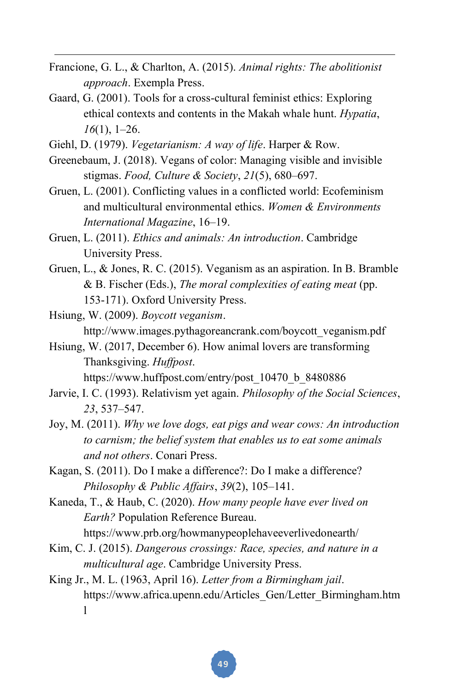- Francione, G. L., & Charlton, A. (2015). *Animal rights: The abolitionist approach*. Exempla Press.
- Gaard, G. (2001). Tools for a cross-cultural feminist ethics: Exploring ethical contexts and contents in the Makah whale hunt. *Hypatia*, *16*(1), 1–26.

Giehl, D. (1979). *Vegetarianism: A way of life*. Harper & Row.

- Greenebaum, J. (2018). Vegans of color: Managing visible and invisible stigmas. *Food, Culture & Society*, *21*(5), 680–697.
- Gruen, L. (2001). Conflicting values in a conflicted world: Ecofeminism and multicultural environmental ethics. *Women & Environments International Magazine*, 16–19.
- Gruen, L. (2011). *Ethics and animals: An introduction*. Cambridge University Press.
- Gruen, L., & Jones, R. C. (2015). Veganism as an aspiration. In B. Bramble & B. Fischer (Eds.), *The moral complexities of eating meat* (pp. 153-171). Oxford University Press.
- Hsiung, W. (2009). *Boycott veganism*. http://www.images.pythagoreancrank.com/boycott\_veganism.pdf
- Hsiung, W. (2017, December 6). How animal lovers are transforming Thanksgiving. *Huffpost*.

https://www.huffpost.com/entry/post\_10470\_b\_8480886

- Jarvie, I. C. (1993). Relativism yet again. *Philosophy of the Social Sciences*, *23*, 537–547.
- Joy, M. (2011). *Why we love dogs, eat pigs and wear cows: An introduction to carnism; the belief system that enables us to eat some animals and not others*. Conari Press.
- Kagan, S. (2011). Do I make a difference?: Do I make a difference? *Philosophy & Public Affairs*, *39*(2), 105–141.
- Kaneda, T., & Haub, C. (2020). *How many people have ever lived on Earth?* Population Reference Bureau.

https://www.prb.org/howmanypeoplehaveeverlivedonearth/

- Kim, C. J. (2015). *Dangerous crossings: Race, species, and nature in a multicultural age*. Cambridge University Press.
- King Jr., M. L. (1963, April 16). *Letter from a Birmingham jail*. https://www.africa.upenn.edu/Articles\_Gen/Letter\_Birmingham.htm l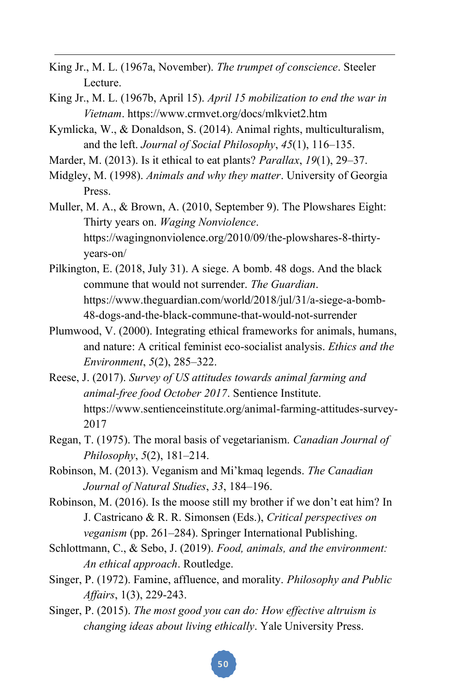- King Jr., M. L. (1967a, November). *The trumpet of conscience*. Steeler Lecture.
- King Jr., M. L. (1967b, April 15). *April 15 mobilization to end the war in Vietnam*. https://www.crmvet.org/docs/mlkviet2.htm
- Kymlicka, W., & Donaldson, S. (2014). Animal rights, multiculturalism, and the left. *Journal of Social Philosophy*, *45*(1), 116–135.
- Marder, M. (2013). Is it ethical to eat plants? *Parallax*, *19*(1), 29–37.
- Midgley, M. (1998). *Animals and why they matter*. University of Georgia Press.
- Muller, M. A., & Brown, A. (2010, September 9). The Plowshares Eight: Thirty years on. *Waging Nonviolence*. https://wagingnonviolence.org/2010/09/the-plowshares-8-thirtyyears-on/
- Pilkington, E. (2018, July 31). A siege. A bomb. 48 dogs. And the black commune that would not surrender. *The Guardian*. https://www.theguardian.com/world/2018/jul/31/a-siege-a-bomb-48-dogs-and-the-black-commune-that-would-not-surrender
- Plumwood, V. (2000). Integrating ethical frameworks for animals, humans, and nature: A critical feminist eco-socialist analysis. *Ethics and the Environment*, *5*(2), 285–322.
- Reese, J. (2017). *Survey of US attitudes towards animal farming and animal-free food October 2017*. Sentience Institute. https://www.sentienceinstitute.org/animal-farming-attitudes-survey-2017
- Regan, T. (1975). The moral basis of vegetarianism. *Canadian Journal of Philosophy*, *5*(2), 181–214.
- Robinson, M. (2013). Veganism and Mi'kmaq legends. *The Canadian Journal of Natural Studies*, *33*, 184–196.
- Robinson, M. (2016). Is the moose still my brother if we don't eat him? In J. Castricano & R. R. Simonsen (Eds.), *Critical perspectives on veganism* (pp. 261–284). Springer International Publishing.
- Schlottmann, C., & Sebo, J. (2019). *Food, animals, and the environment: An ethical approach*. Routledge.
- Singer, P. (1972). Famine, affluence, and morality. *Philosophy and Public Affairs*, 1(3), 229-243.
- Singer, P. (2015). *The most good you can do: How effective altruism is changing ideas about living ethically*. Yale University Press.